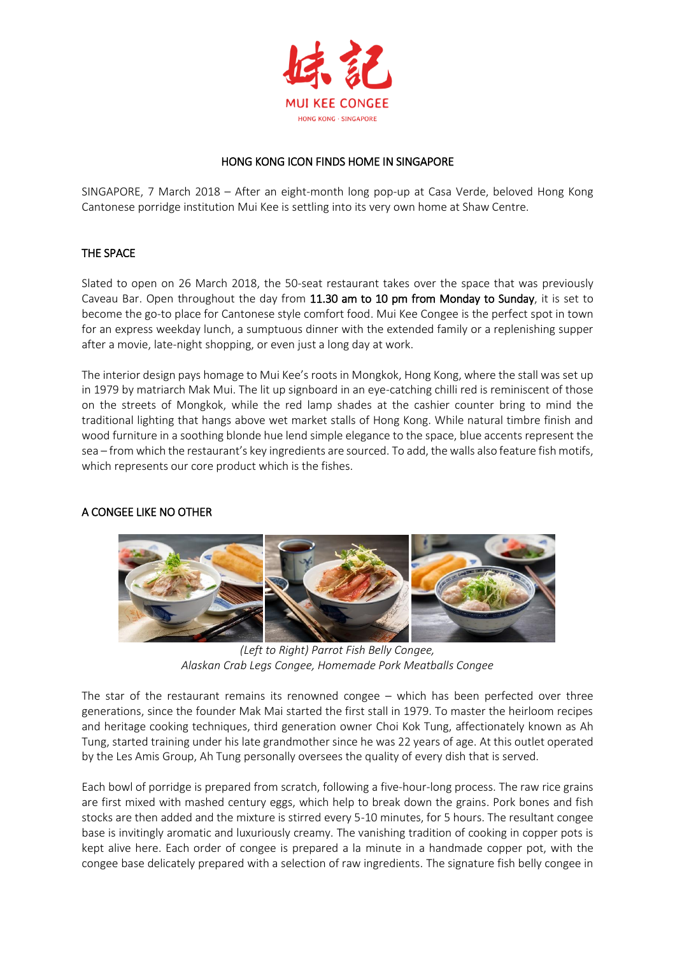

## HONG KONG ICON FINDS HOME IN SINGAPORE

SINGAPORE, 7 March 2018 – After an eight-month long pop-up at Casa Verde, beloved Hong Kong Cantonese porridge institution Mui Kee is settling into its very own home at Shaw Centre.

## THE SPACE

Slated to open on 26 March 2018, the 50-seat restaurant takes over the space that was previously Caveau Bar. Open throughout the day from 11.30 am to 10 pm from Monday to Sunday, it is set to become the go-to place for Cantonese style comfort food. Mui Kee Congee is the perfect spot in town for an express weekday lunch, a sumptuous dinner with the extended family or a replenishing supper after a movie, late-night shopping, or even just a long day at work.

The interior design pays homage to Mui Kee's roots in Mongkok, Hong Kong, where the stall was set up in 1979 by matriarch Mak Mui. The lit up signboard in an eye-catching chilli red is reminiscent of those on the streets of Mongkok, while the red lamp shades at the cashier counter bring to mind the traditional lighting that hangs above wet market stalls of Hong Kong. While natural timbre finish and wood furniture in a soothing blonde hue lend simple elegance to the space, blue accents represent the sea – from which the restaurant's key ingredients are sourced. To add, the walls also feature fish motifs, which represents our core product which is the fishes.

# A CONGEE LIKE NO OTHER



*(Left to Right) Parrot Fish Belly Congee, Alaskan Crab Legs Congee, Homemade Pork Meatballs Congee*

The star of the restaurant remains its renowned congee – which has been perfected over three generations, since the founder Mak Mai started the first stall in 1979. To master the heirloom recipes and heritage cooking techniques, third generation owner Choi Kok Tung, affectionately known as Ah Tung, started training under his late grandmother since he was 22 years of age. At this outlet operated by the Les Amis Group, Ah Tung personally oversees the quality of every dish that is served.

Each bowl of porridge is prepared from scratch, following a five-hour-long process. The raw rice grains are first mixed with mashed century eggs, which help to break down the grains. Pork bones and fish stocks are then added and the mixture is stirred every 5-10 minutes, for 5 hours. The resultant congee base is invitingly aromatic and luxuriously creamy. The vanishing tradition of cooking in copper pots is kept alive here. Each order of congee is prepared a la minute in a handmade copper pot, with the congee base delicately prepared with a selection of raw ingredients. The signature fish belly congee in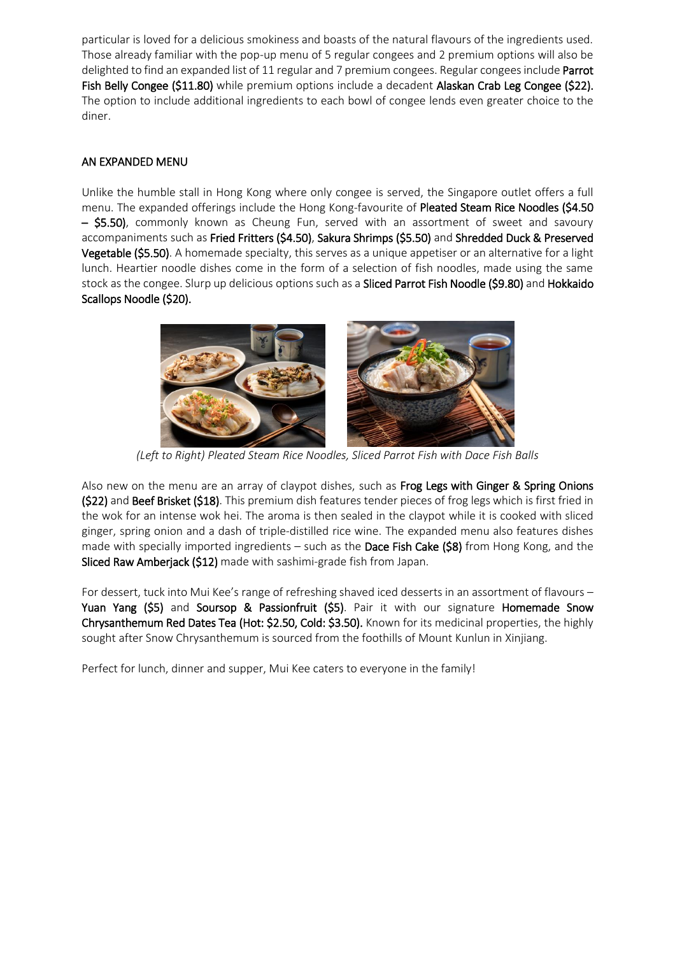particular is loved for a delicious smokiness and boasts of the natural flavours of the ingredients used. Those already familiar with the pop-up menu of 5 regular congees and 2 premium options will also be delighted to find an expanded list of 11 regular and 7 premium congees. Regular congees include Parrot Fish Belly Congee (\$11.80) while premium options include a decadent Alaskan Crab Leg Congee (\$22). The option to include additional ingredients to each bowl of congee lends even greater choice to the diner.

## AN EXPANDED MENU

Unlike the humble stall in Hong Kong where only congee is served, the Singapore outlet offers a full menu. The expanded offerings include the Hong Kong-favourite of Pleated Steam Rice Noodles (\$4.50 – \$5.50), commonly known as Cheung Fun, served with an assortment of sweet and savoury accompaniments such as Fried Fritters (\$4.50), Sakura Shrimps (\$5.50) and Shredded Duck & Preserved Vegetable (\$5.50). A homemade specialty, this serves as a unique appetiser or an alternative for a light lunch. Heartier noodle dishes come in the form of a selection of fish noodles, made using the same stock as the congee. Slurp up delicious options such as a Sliced Parrot Fish Noodle (\$9.80) and Hokkaido Scallops Noodle (\$20).



*(Left to Right) Pleated Steam Rice Noodles, Sliced Parrot Fish with Dace Fish Balls*

Also new on the menu are an array of claypot dishes, such as Frog Legs with Ginger & Spring Onions (\$22) and Beef Brisket (\$18). This premium dish features tender pieces of frog legs which is first fried in the wok for an intense wok hei. The aroma is then sealed in the claypot while it is cooked with sliced ginger, spring onion and a dash of triple-distilled rice wine. The expanded menu also features dishes made with specially imported ingredients – such as the Dace Fish Cake ( $$8$ ) from Hong Kong, and the Sliced Raw Amberjack (\$12) made with sashimi-grade fish from Japan.

For dessert, tuck into Mui Kee's range of refreshing shaved iced desserts in an assortment of flavours – Yuan Yang (\$5) and Soursop & Passionfruit (\$5). Pair it with our signature Homemade Snow Chrysanthemum Red Dates Tea (Hot: \$2.50, Cold: \$3.50). Known for its medicinal properties, the highly sought after Snow Chrysanthemum is sourced from the foothills of Mount Kunlun in Xinjiang.

Perfect for lunch, dinner and supper, Mui Kee caters to everyone in the family!